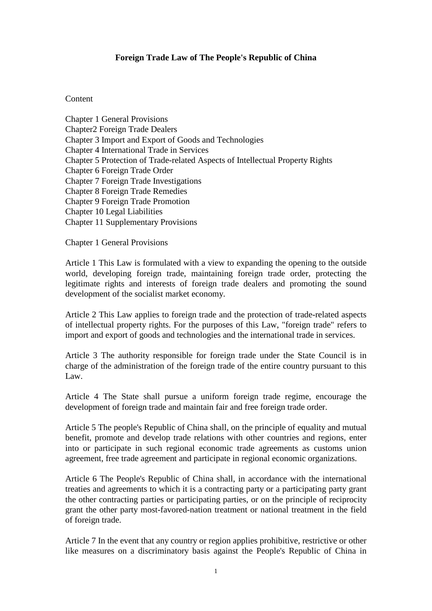## **Foreign Trade Law of The People's Republic of China**

## Content

Chapter 1 General Provisions Chapter2 Foreign Trade Dealers Chapter 3 Import and Export of Goods and Technologies Chapter 4 International Trade in Services Chapter 5 Protection of Trade-related Aspects of Intellectual Property Rights Chapter 6 Foreign Trade Order Chapter 7 Foreign Trade Investigations Chapter 8 Foreign Trade Remedies Chapter 9 Foreign Trade Promotion Chapter 10 Legal Liabilities Chapter 11 Supplementary Provisions

Chapter 1 General Provisions

Article 1 This Law is formulated with a view to expanding the opening to the outside world, developing foreign trade, maintaining foreign trade order, protecting the legitimate rights and interests of foreign trade dealers and promoting the sound development of the socialist market economy.

Article 2 This Law applies to foreign trade and the protection of trade-related aspects of intellectual property rights. For the purposes of this Law, "foreign trade" refers to import and export of goods and technologies and the international trade in services.

Article 3 The authority responsible for foreign trade under the State Council is in charge of the administration of the foreign trade of the entire country pursuant to this Law.

Article 4 The State shall pursue a uniform foreign trade regime, encourage the development of foreign trade and maintain fair and free foreign trade order.

Article 5 The people's Republic of China shall, on the principle of equality and mutual benefit, promote and develop trade relations with other countries and regions, enter into or participate in such regional economic trade agreements as customs union agreement, free trade agreement and participate in regional economic organizations.

Article 6 The People's Republic of China shall, in accordance with the international treaties and agreements to which it is a contracting party or a participating party grant the other contracting parties or participating parties, or on the principle of reciprocity grant the other party most-favored-nation treatment or national treatment in the field of foreign trade.

Article 7 In the event that any country or region applies prohibitive, restrictive or other like measures on a discriminatory basis against the People's Republic of China in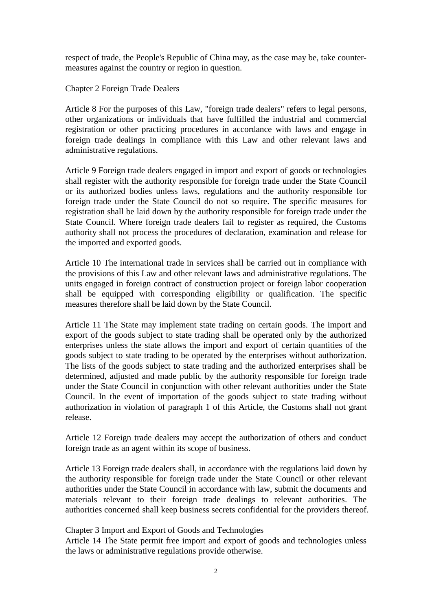respect of trade, the People's Republic of China may, as the case may be, take countermeasures against the country or region in question.

Chapter 2 Foreign Trade Dealers

Article 8 For the purposes of this Law, "foreign trade dealers" refers to legal persons, other organizations or individuals that have fulfilled the industrial and commercial registration or other practicing procedures in accordance with laws and engage in foreign trade dealings in compliance with this Law and other relevant laws and administrative regulations.

Article 9 Foreign trade dealers engaged in import and export of goods or technologies shall register with the authority responsible for foreign trade under the State Council or its authorized bodies unless laws, regulations and the authority responsible for foreign trade under the State Council do not so require. The specific measures for registration shall be laid down by the authority responsible for foreign trade under the State Council. Where foreign trade dealers fail to register as required, the Customs authority shall not process the procedures of declaration, examination and release for the imported and exported goods.

Article 10 The international trade in services shall be carried out in compliance with the provisions of this Law and other relevant laws and administrative regulations. The units engaged in foreign contract of construction project or foreign labor cooperation shall be equipped with corresponding eligibility or qualification. The specific measures therefore shall be laid down by the State Council.

Article 11 The State may implement state trading on certain goods. The import and export of the goods subject to state trading shall be operated only by the authorized enterprises unless the state allows the import and export of certain quantities of the goods subject to state trading to be operated by the enterprises without authorization. The lists of the goods subject to state trading and the authorized enterprises shall be determined, adjusted and made public by the authority responsible for foreign trade under the State Council in conjunction with other relevant authorities under the State Council. In the event of importation of the goods subject to state trading without authorization in violation of paragraph 1 of this Article, the Customs shall not grant release.

Article 12 Foreign trade dealers may accept the authorization of others and conduct foreign trade as an agent within its scope of business.

Article 13 Foreign trade dealers shall, in accordance with the regulations laid down by the authority responsible for foreign trade under the State Council or other relevant authorities under the State Council in accordance with law, submit the documents and materials relevant to their foreign trade dealings to relevant authorities. The authorities concerned shall keep business secrets confidential for the providers thereof.

## Chapter 3 Import and Export of Goods and Technologies

Article 14 The State permit free import and export of goods and technologies unless the laws or administrative regulations provide otherwise.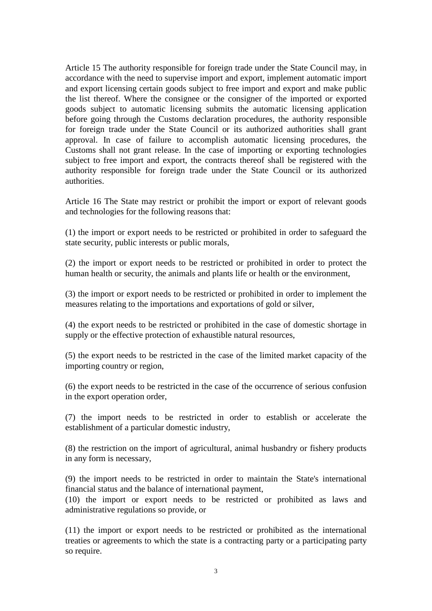Article 15 The authority responsible for foreign trade under the State Council may, in accordance with the need to supervise import and export, implement automatic import and export licensing certain goods subject to free import and export and make public the list thereof. Where the consignee or the consigner of the imported or exported goods subject to automatic licensing submits the automatic licensing application before going through the Customs declaration procedures, the authority responsible for foreign trade under the State Council or its authorized authorities shall grant approval. In case of failure to accomplish automatic licensing procedures, the Customs shall not grant release. In the case of importing or exporting technologies subject to free import and export, the contracts thereof shall be registered with the authority responsible for foreign trade under the State Council or its authorized authorities.

Article 16 The State may restrict or prohibit the import or export of relevant goods and technologies for the following reasons that:

(1) the import or export needs to be restricted or prohibited in order to safeguard the state security, public interests or public morals,

(2) the import or export needs to be restricted or prohibited in order to protect the human health or security, the animals and plants life or health or the environment,

(3) the import or export needs to be restricted or prohibited in order to implement the measures relating to the importations and exportations of gold or silver,

(4) the export needs to be restricted or prohibited in the case of domestic shortage in supply or the effective protection of exhaustible natural resources,

(5) the export needs to be restricted in the case of the limited market capacity of the importing country or region,

(6) the export needs to be restricted in the case of the occurrence of serious confusion in the export operation order,

(7) the import needs to be restricted in order to establish or accelerate the establishment of a particular domestic industry,

(8) the restriction on the import of agricultural, animal husbandry or fishery products in any form is necessary,

(9) the import needs to be restricted in order to maintain the State's international financial status and the balance of international payment,

(10) the import or export needs to be restricted or prohibited as laws and administrative regulations so provide, or

(11) the import or export needs to be restricted or prohibited as the international treaties or agreements to which the state is a contracting party or a participating party so require.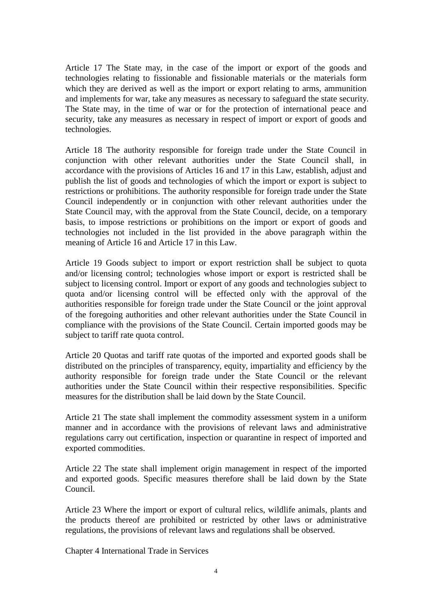Article 17 The State may, in the case of the import or export of the goods and technologies relating to fissionable and fissionable materials or the materials form which they are derived as well as the import or export relating to arms, ammunition and implements for war, take any measures as necessary to safeguard the state security. The State may, in the time of war or for the protection of international peace and security, take any measures as necessary in respect of import or export of goods and technologies.

Article 18 The authority responsible for foreign trade under the State Council in conjunction with other relevant authorities under the State Council shall, in accordance with the provisions of Articles 16 and 17 in this Law, establish, adjust and publish the list of goods and technologies of which the import or export is subject to restrictions or prohibitions. The authority responsible for foreign trade under the State Council independently or in conjunction with other relevant authorities under the State Council may, with the approval from the State Council, decide, on a temporary basis, to impose restrictions or prohibitions on the import or export of goods and technologies not included in the list provided in the above paragraph within the meaning of Article 16 and Article 17 in this Law.

Article 19 Goods subject to import or export restriction shall be subject to quota and/or licensing control; technologies whose import or export is restricted shall be subject to licensing control. Import or export of any goods and technologies subject to quota and/or licensing control will be effected only with the approval of the authorities responsible for foreign trade under the State Council or the joint approval of the foregoing authorities and other relevant authorities under the State Council in compliance with the provisions of the State Council. Certain imported goods may be subject to tariff rate quota control.

Article 20 Quotas and tariff rate quotas of the imported and exported goods shall be distributed on the principles of transparency, equity, impartiality and efficiency by the authority responsible for foreign trade under the State Council or the relevant authorities under the State Council within their respective responsibilities. Specific measures for the distribution shall be laid down by the State Council.

Article 21 The state shall implement the commodity assessment system in a uniform manner and in accordance with the provisions of relevant laws and administrative regulations carry out certification, inspection or quarantine in respect of imported and exported commodities.

Article 22 The state shall implement origin management in respect of the imported and exported goods. Specific measures therefore shall be laid down by the State Council.

Article 23 Where the import or export of cultural relics, wildlife animals, plants and the products thereof are prohibited or restricted by other laws or administrative regulations, the provisions of relevant laws and regulations shall be observed.

Chapter 4 International Trade in Services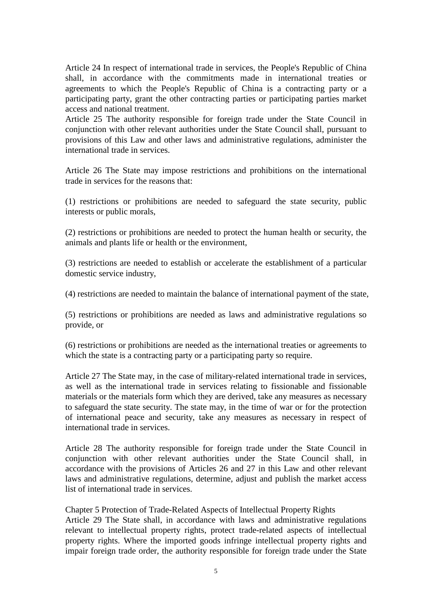Article 24 In respect of international trade in services, the People's Republic of China shall, in accordance with the commitments made in international treaties or agreements to which the People's Republic of China is a contracting party or a participating party, grant the other contracting parties or participating parties market access and national treatment.

Article 25 The authority responsible for foreign trade under the State Council in conjunction with other relevant authorities under the State Council shall, pursuant to provisions of this Law and other laws and administrative regulations, administer the international trade in services.

Article 26 The State may impose restrictions and prohibitions on the international trade in services for the reasons that:

(1) restrictions or prohibitions are needed to safeguard the state security, public interests or public morals,

(2) restrictions or prohibitions are needed to protect the human health or security, the animals and plants life or health or the environment,

(3) restrictions are needed to establish or accelerate the establishment of a particular domestic service industry,

(4) restrictions are needed to maintain the balance of international payment of the state,

(5) restrictions or prohibitions are needed as laws and administrative regulations so provide, or

(6) restrictions or prohibitions are needed as the international treaties or agreements to which the state is a contracting party or a participating party so require.

Article 27 The State may, in the case of military-related international trade in services, as well as the international trade in services relating to fissionable and fissionable materials or the materials form which they are derived, take any measures as necessary to safeguard the state security. The state may, in the time of war or for the protection of international peace and security, take any measures as necessary in respect of international trade in services.

Article 28 The authority responsible for foreign trade under the State Council in conjunction with other relevant authorities under the State Council shall, in accordance with the provisions of Articles 26 and 27 in this Law and other relevant laws and administrative regulations, determine, adjust and publish the market access list of international trade in services.

Chapter 5 Protection of Trade-Related Aspects of Intellectual Property Rights Article 29 The State shall, in accordance with laws and administrative regulations relevant to intellectual property rights, protect trade-related aspects of intellectual property rights. Where the imported goods infringe intellectual property rights and impair foreign trade order, the authority responsible for foreign trade under the State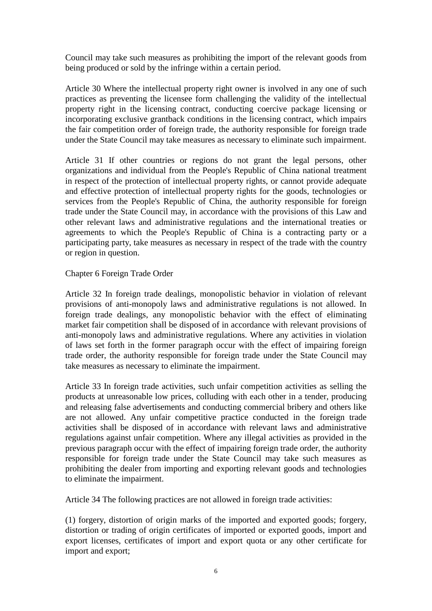Council may take such measures as prohibiting the import of the relevant goods from being produced or sold by the infringe within a certain period.

Article 30 Where the intellectual property right owner is involved in any one of such practices as preventing the licensee form challenging the validity of the intellectual property right in the licensing contract, conducting coercive package licensing or incorporating exclusive grantback conditions in the licensing contract, which impairs the fair competition order of foreign trade, the authority responsible for foreign trade under the State Council may take measures as necessary to eliminate such impairment.

Article 31 If other countries or regions do not grant the legal persons, other organizations and individual from the People's Republic of China national treatment in respect of the protection of intellectual property rights, or cannot provide adequate and effective protection of intellectual property rights for the goods, technologies or services from the People's Republic of China, the authority responsible for foreign trade under the State Council may, in accordance with the provisions of this Law and other relevant laws and administrative regulations and the international treaties or agreements to which the People's Republic of China is a contracting party or a participating party, take measures as necessary in respect of the trade with the country or region in question.

Chapter 6 Foreign Trade Order

Article 32 In foreign trade dealings, monopolistic behavior in violation of relevant provisions of anti-monopoly laws and administrative regulations is not allowed. In foreign trade dealings, any monopolistic behavior with the effect of eliminating market fair competition shall be disposed of in accordance with relevant provisions of anti-monopoly laws and administrative regulations. Where any activities in violation of laws set forth in the former paragraph occur with the effect of impairing foreign trade order, the authority responsible for foreign trade under the State Council may take measures as necessary to eliminate the impairment.

Article 33 In foreign trade activities, such unfair competition activities as selling the products at unreasonable low prices, colluding with each other in a tender, producing and releasing false advertisements and conducting commercial bribery and others like are not allowed. Any unfair competitive practice conducted in the foreign trade activities shall be disposed of in accordance with relevant laws and administrative regulations against unfair competition. Where any illegal activities as provided in the previous paragraph occur with the effect of impairing foreign trade order, the authority responsible for foreign trade under the State Council may take such measures as prohibiting the dealer from importing and exporting relevant goods and technologies to eliminate the impairment.

Article 34 The following practices are not allowed in foreign trade activities:

(1) forgery, distortion of origin marks of the imported and exported goods; forgery, distortion or trading of origin certificates of imported or exported goods, import and export licenses, certificates of import and export quota or any other certificate for import and export;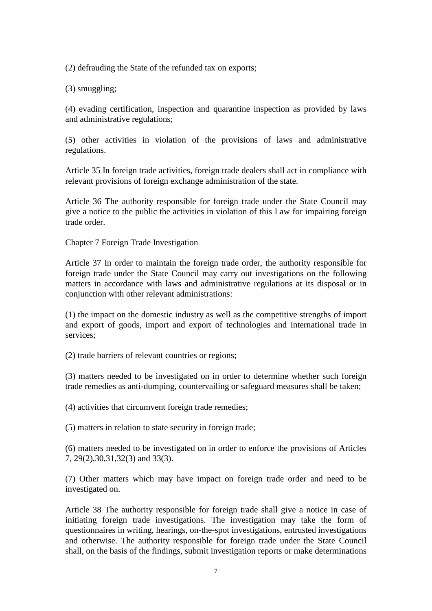(2) defrauding the State of the refunded tax on exports;

(3) smuggling;

(4) evading certification, inspection and quarantine inspection as provided by laws and administrative regulations;

(5) other activities in violation of the provisions of laws and administrative regulations.

Article 35 In foreign trade activities, foreign trade dealers shall act in compliance with relevant provisions of foreign exchange administration of the state.

Article 36 The authority responsible for foreign trade under the State Council may give a notice to the public the activities in violation of this Law for impairing foreign trade order.

Chapter 7 Foreign Trade Investigation

Article 37 In order to maintain the foreign trade order, the authority responsible for foreign trade under the State Council may carry out investigations on the following matters in accordance with laws and administrative regulations at its disposal or in conjunction with other relevant administrations:

(1) the impact on the domestic industry as well as the competitive strengths of import and export of goods, import and export of technologies and international trade in services;

(2) trade barriers of relevant countries or regions;

(3) matters needed to be investigated on in order to determine whether such foreign trade remedies as anti-dumping, countervailing or safeguard measures shall be taken;

(4) activities that circumvent foreign trade remedies;

(5) matters in relation to state security in foreign trade;

(6) matters needed to be investigated on in order to enforce the provisions of Articles 7, 29(2),30,31,32(3) and 33(3).

(7) Other matters which may have impact on foreign trade order and need to be investigated on.

Article 38 The authority responsible for foreign trade shall give a notice in case of initiating foreign trade investigations. The investigation may take the form of questionnaires in writing, hearings, on-the-spot investigations, entrusted investigations and otherwise. The authority responsible for foreign trade under the State Council shall, on the basis of the findings, submit investigation reports or make determinations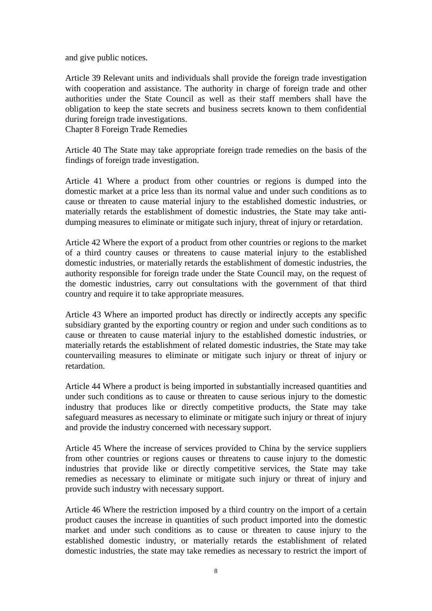and give public notices.

Article 39 Relevant units and individuals shall provide the foreign trade investigation with cooperation and assistance. The authority in charge of foreign trade and other authorities under the State Council as well as their staff members shall have the obligation to keep the state secrets and business secrets known to them confidential during foreign trade investigations.

Chapter 8 Foreign Trade Remedies

Article 40 The State may take appropriate foreign trade remedies on the basis of the findings of foreign trade investigation.

Article 41 Where a product from other countries or regions is dumped into the domestic market at a price less than its normal value and under such conditions as to cause or threaten to cause material injury to the established domestic industries, or materially retards the establishment of domestic industries, the State may take antidumping measures to eliminate or mitigate such injury, threat of injury or retardation.

Article 42 Where the export of a product from other countries or regions to the market of a third country causes or threatens to cause material injury to the established domestic industries, or materially retards the establishment of domestic industries, the authority responsible for foreign trade under the State Council may, on the request of the domestic industries, carry out consultations with the government of that third country and require it to take appropriate measures.

Article 43 Where an imported product has directly or indirectly accepts any specific subsidiary granted by the exporting country or region and under such conditions as to cause or threaten to cause material injury to the established domestic industries, or materially retards the establishment of related domestic industries, the State may take countervailing measures to eliminate or mitigate such injury or threat of injury or retardation.

Article 44 Where a product is being imported in substantially increased quantities and under such conditions as to cause or threaten to cause serious injury to the domestic industry that produces like or directly competitive products, the State may take safeguard measures as necessary to eliminate or mitigate such injury or threat of injury and provide the industry concerned with necessary support.

Article 45 Where the increase of services provided to China by the service suppliers from other countries or regions causes or threatens to cause injury to the domestic industries that provide like or directly competitive services, the State may take remedies as necessary to eliminate or mitigate such injury or threat of injury and provide such industry with necessary support.

Article 46 Where the restriction imposed by a third country on the import of a certain product causes the increase in quantities of such product imported into the domestic market and under such conditions as to cause or threaten to cause injury to the established domestic industry, or materially retards the establishment of related domestic industries, the state may take remedies as necessary to restrict the import of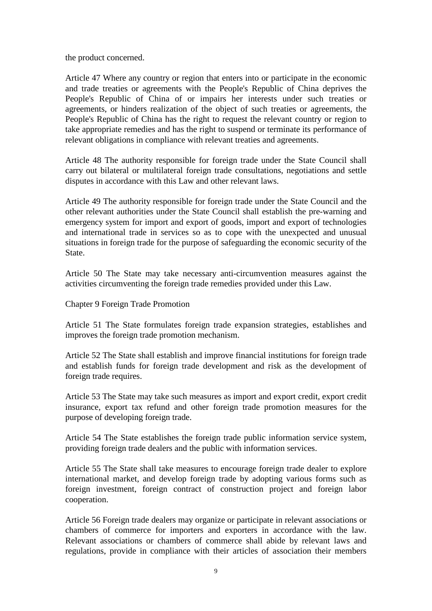the product concerned.

Article 47 Where any country or region that enters into or participate in the economic and trade treaties or agreements with the People's Republic of China deprives the People's Republic of China of or impairs her interests under such treaties or agreements, or hinders realization of the object of such treaties or agreements, the People's Republic of China has the right to request the relevant country or region to take appropriate remedies and has the right to suspend or terminate its performance of relevant obligations in compliance with relevant treaties and agreements.

Article 48 The authority responsible for foreign trade under the State Council shall carry out bilateral or multilateral foreign trade consultations, negotiations and settle disputes in accordance with this Law and other relevant laws.

Article 49 The authority responsible for foreign trade under the State Council and the other relevant authorities under the State Council shall establish the pre-warning and emergency system for import and export of goods, import and export of technologies and international trade in services so as to cope with the unexpected and unusual situations in foreign trade for the purpose of safeguarding the economic security of the State.

Article 50 The State may take necessary anti-circumvention measures against the activities circumventing the foreign trade remedies provided under this Law.

Chapter 9 Foreign Trade Promotion

Article 51 The State formulates foreign trade expansion strategies, establishes and improves the foreign trade promotion mechanism.

Article 52 The State shall establish and improve financial institutions for foreign trade and establish funds for foreign trade development and risk as the development of foreign trade requires.

Article 53 The State may take such measures as import and export credit, export credit insurance, export tax refund and other foreign trade promotion measures for the purpose of developing foreign trade.

Article 54 The State establishes the foreign trade public information service system, providing foreign trade dealers and the public with information services.

Article 55 The State shall take measures to encourage foreign trade dealer to explore international market, and develop foreign trade by adopting various forms such as foreign investment, foreign contract of construction project and foreign labor cooperation.

Article 56 Foreign trade dealers may organize or participate in relevant associations or chambers of commerce for importers and exporters in accordance with the law. Relevant associations or chambers of commerce shall abide by relevant laws and regulations, provide in compliance with their articles of association their members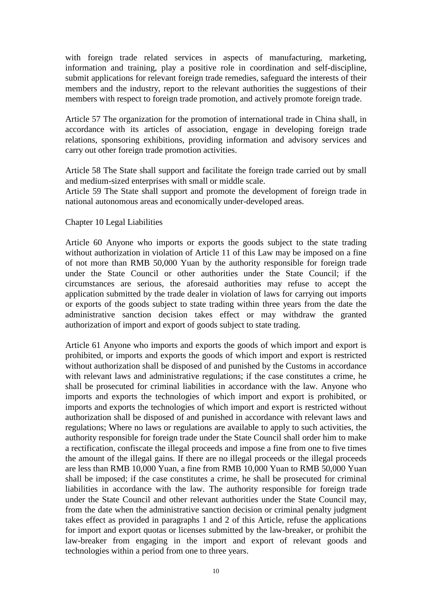with foreign trade related services in aspects of manufacturing, marketing, information and training, play a positive role in coordination and self-discipline, submit applications for relevant foreign trade remedies, safeguard the interests of their members and the industry, report to the relevant authorities the suggestions of their members with respect to foreign trade promotion, and actively promote foreign trade.

Article 57 The organization for the promotion of international trade in China shall, in accordance with its articles of association, engage in developing foreign trade relations, sponsoring exhibitions, providing information and advisory services and carry out other foreign trade promotion activities.

Article 58 The State shall support and facilitate the foreign trade carried out by small and medium-sized enterprises with small or middle scale.

Article 59 The State shall support and promote the development of foreign trade in national autonomous areas and economically under-developed areas.

## Chapter 10 Legal Liabilities

Article 60 Anyone who imports or exports the goods subject to the state trading without authorization in violation of Article 11 of this Law may be imposed on a fine of not more than RMB 50,000 Yuan by the authority responsible for foreign trade under the State Council or other authorities under the State Council; if the circumstances are serious, the aforesaid authorities may refuse to accept the application submitted by the trade dealer in violation of laws for carrying out imports or exports of the goods subject to state trading within three years from the date the administrative sanction decision takes effect or may withdraw the granted authorization of import and export of goods subject to state trading.

Article 61 Anyone who imports and exports the goods of which import and export is prohibited, or imports and exports the goods of which import and export is restricted without authorization shall be disposed of and punished by the Customs in accordance with relevant laws and administrative regulations; if the case constitutes a crime, he shall be prosecuted for criminal liabilities in accordance with the law. Anyone who imports and exports the technologies of which import and export is prohibited, or imports and exports the technologies of which import and export is restricted without authorization shall be disposed of and punished in accordance with relevant laws and regulations; Where no laws or regulations are available to apply to such activities, the authority responsible for foreign trade under the State Council shall order him to make a rectification, confiscate the illegal proceeds and impose a fine from one to five times the amount of the illegal gains. If there are no illegal proceeds or the illegal proceeds are less than RMB 10,000 Yuan, a fine from RMB 10,000 Yuan to RMB 50,000 Yuan shall be imposed; if the case constitutes a crime, he shall be prosecuted for criminal liabilities in accordance with the law. The authority responsible for foreign trade under the State Council and other relevant authorities under the State Council may, from the date when the administrative sanction decision or criminal penalty judgment takes effect as provided in paragraphs 1 and 2 of this Article, refuse the applications for import and export quotas or licenses submitted by the law-breaker, or prohibit the law-breaker from engaging in the import and export of relevant goods and technologies within a period from one to three years.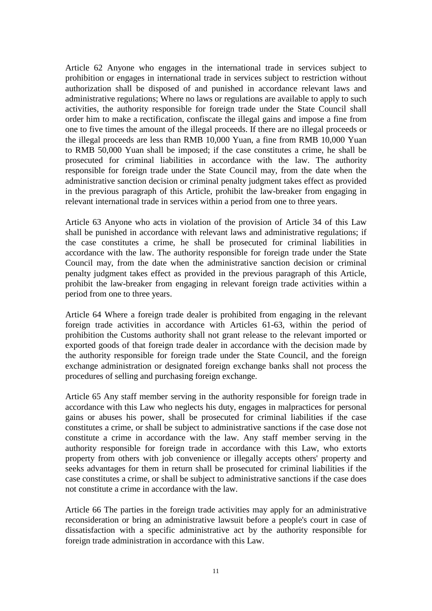Article 62 Anyone who engages in the international trade in services subject to prohibition or engages in international trade in services subject to restriction without authorization shall be disposed of and punished in accordance relevant laws and administrative regulations; Where no laws or regulations are available to apply to such activities, the authority responsible for foreign trade under the State Council shall order him to make a rectification, confiscate the illegal gains and impose a fine from one to five times the amount of the illegal proceeds. If there are no illegal proceeds or the illegal proceeds are less than RMB 10,000 Yuan, a fine from RMB 10,000 Yuan to RMB 50,000 Yuan shall be imposed; if the case constitutes a crime, he shall be prosecuted for criminal liabilities in accordance with the law. The authority responsible for foreign trade under the State Council may, from the date when the administrative sanction decision or criminal penalty judgment takes effect as provided in the previous paragraph of this Article, prohibit the law-breaker from engaging in relevant international trade in services within a period from one to three years.

Article 63 Anyone who acts in violation of the provision of Article 34 of this Law shall be punished in accordance with relevant laws and administrative regulations; if the case constitutes a crime, he shall be prosecuted for criminal liabilities in accordance with the law. The authority responsible for foreign trade under the State Council may, from the date when the administrative sanction decision or criminal penalty judgment takes effect as provided in the previous paragraph of this Article, prohibit the law-breaker from engaging in relevant foreign trade activities within a period from one to three years.

Article 64 Where a foreign trade dealer is prohibited from engaging in the relevant foreign trade activities in accordance with Articles 61-63, within the period of prohibition the Customs authority shall not grant release to the relevant imported or exported goods of that foreign trade dealer in accordance with the decision made by the authority responsible for foreign trade under the State Council, and the foreign exchange administration or designated foreign exchange banks shall not process the procedures of selling and purchasing foreign exchange.

Article 65 Any staff member serving in the authority responsible for foreign trade in accordance with this Law who neglects his duty, engages in malpractices for personal gains or abuses his power, shall be prosecuted for criminal liabilities if the case constitutes a crime, or shall be subject to administrative sanctions if the case dose not constitute a crime in accordance with the law. Any staff member serving in the authority responsible for foreign trade in accordance with this Law, who extorts property from others with job convenience or illegally accepts others' property and seeks advantages for them in return shall be prosecuted for criminal liabilities if the case constitutes a crime, or shall be subject to administrative sanctions if the case does not constitute a crime in accordance with the law.

Article 66 The parties in the foreign trade activities may apply for an administrative reconsideration or bring an administrative lawsuit before a people's court in case of dissatisfaction with a specific administrative act by the authority responsible for foreign trade administration in accordance with this Law.